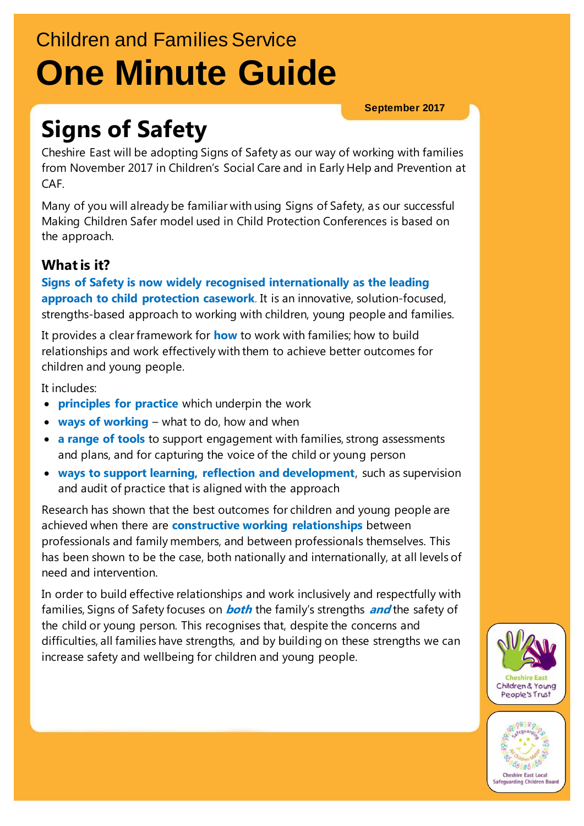# Children and Families Service **One Minute Guide**

**September 2017**

# **Signs of Safety**

Cheshire East will be adopting Signs of Safety as our way of working with families from November 2017 in Children's Social Care and in Early Help and Prevention at CAF.

Many of you will already be familiar with using Signs of Safety, as our successful Making Children Safer model used in Child Protection Conferences is based on the approach.

## **What is it?**

**Signs of Safety is now widely recognised internationally as the leading approach to child protection casework**. It is an innovative, solution-focused, strengths-based approach to working with children, young people and families.

It provides a clear framework for **how** to work with families; how to build relationships and work effectively with them to achieve better outcomes for children and young people.

It includes:

- **principles for practice** which underpin the work
- **ways of working** what to do, how and when
- **a range of tools** to support engagement with families, strong assessments and plans, and for capturing the voice of the child or young person
- **ways to support learning, reflection and development**, such as supervision and audit of practice that is aligned with the approach

Research has shown that the best outcomes for children and young people are achieved when there are **constructive working relationships** between professionals and family members, and between professionals themselves. This has been shown to be the case, both nationally and internationally, at all levels of need and intervention.

In order to build effective relationships and work inclusively and respectfully with families, Signs of Safety focuses on **both** the family's strengths **and** the safety of the child or young person. This recognises that, despite the concerns and difficulties, all families have strengths, and by building on these strengths we can increase safety and wellbeing for children and young people.